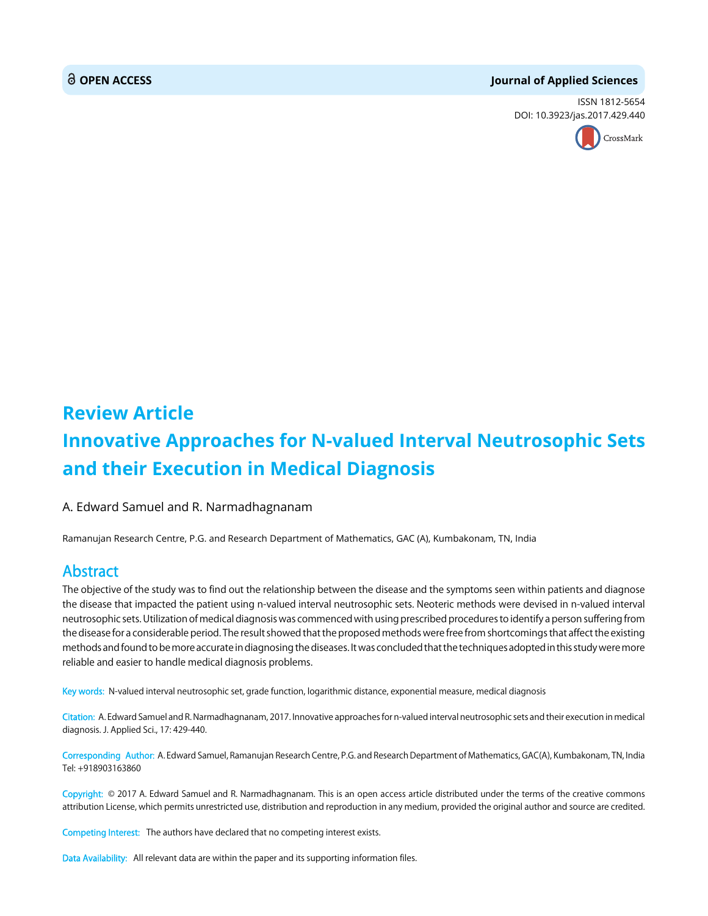# **OPEN ACCESS Journal of Applied Sciences**

ISSN 1812-5654 DOI: 10.3923/jas.2017.429.440



# **Review Article Innovative Approaches for N-valued Interval Neutrosophic Sets and their Execution in Medical Diagnosis**

A. Edward Samuel and R. Narmadhagnanam

Ramanujan Research Centre, P.G. and Research Department of Mathematics, GAC (A), Kumbakonam, TN, India

# Abstract

The objective of the study was to find out the relationship between the disease and the symptoms seen within patients and diagnose the disease that impacted the patient using n-valued interval neutrosophic sets. Neoteric methods were devised in n-valued interval neutrosophic sets. Utilization of medical diagnosis was commenced with using prescribed procedures to identify a person suffering from the disease for a considerable period. The result showed that the proposed methods were free from shortcomings that affect the existing methods and found to be more accurate in diagnosing the diseases. It was concluded that the techniques adopted in this study were more reliable and easier to handle medical diagnosis problems.

Key words: N-valued interval neutrosophic set, grade function, logarithmic distance, exponential measure, medical diagnosis

Citation: A. Edward Samuel and R. Narmadhagnanam, 2017. Innovative approaches for n-valued interval neutrosophic sets and their execution in medical diagnosis. J. Applied Sci., 17: 429-440.

Corresponding Author: A. Edward Samuel, Ramanujan Research Centre, P.G. and Research Department of Mathematics, GAC(A), Kumbakonam, TN, India Tel: +918903163860

Copyright: © 2017 A. Edward Samuel and R. Narmadhagnanam. This is an open access article distributed under the terms of the creative commons attribution License, which permits unrestricted use, distribution and reproduction in any medium, provided the original author and source are credited.

Competing Interest: The authors have declared that no competing interest exists.

Data Availability: All relevant data are within the paper and its supporting information files.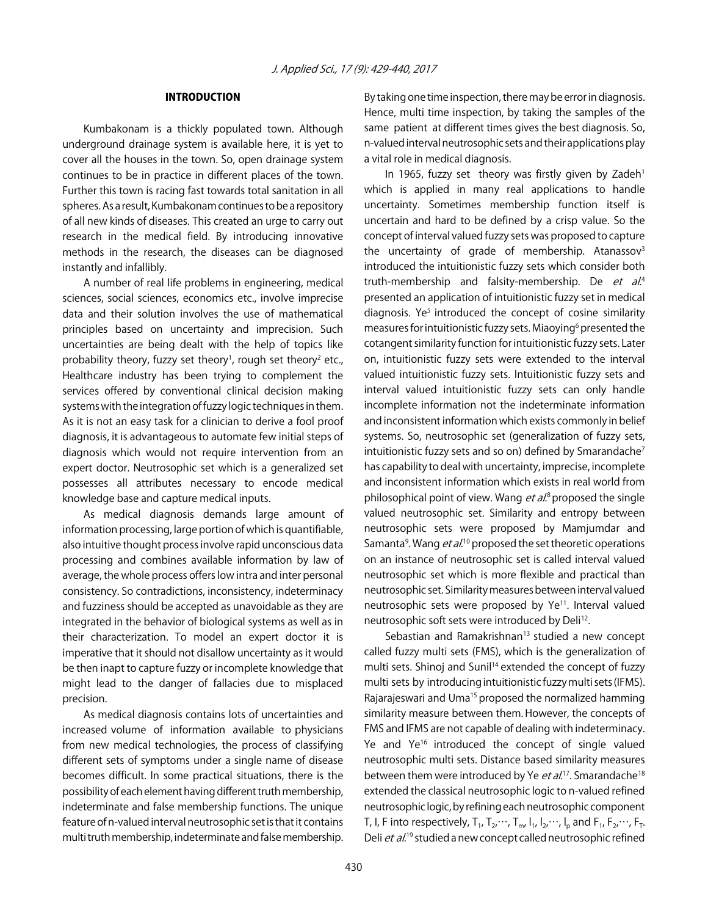#### INTRODUCTION

Kumbakonam is a thickly populated town. Although underground drainage system is available here, it is yet to cover all the houses in the town. So, open drainage system continues to be in practice in different places of the town. Further this town is racing fast towards total sanitation in all spheres. As a result, Kumbakonam continues to be a repository of all new kinds of diseases. This created an urge to carry out research in the medical field. By introducing innovative methods in the research, the diseases can be diagnosed instantly and infallibly.

A number of real life problems in engineering, medical sciences, social sciences, economics etc., involve imprecise data and their solution involves the use of mathematical principles based on uncertainty and imprecision. Such uncertainties are being dealt with the help of topics like probability theory, fuzzy set theory<sup>1</sup>, rough set theory<sup>2</sup> etc., Healthcare industry has been trying to complement the services offered by conventional clinical decision making systems with the integration of fuzzy logic techniques in them. As it is not an easy task for a clinician to derive a fool proof diagnosis, it is advantageous to automate few initial steps of diagnosis which would not require intervention from an expert doctor. Neutrosophic set which is a generalized set possesses all attributes necessary to encode medical knowledge base and capture medical inputs.

As medical diagnosis demands large amount of information processing, large portion of which is quantifiable, also intuitive thought process involve rapid unconscious data processing and combines available information by law of average, the whole process offers low intra and inter personal consistency. So contradictions, inconsistency, indeterminacy and fuzziness should be accepted as unavoidable as they are integrated in the behavior of biological systems as well as in their characterization. To model an expert doctor it is imperative that it should not disallow uncertainty as it would be then inapt to capture fuzzy or incomplete knowledge that might lead to the danger of fallacies due to misplaced precision.

As medical diagnosis contains lots of uncertainties and increased volume of information available to physicians from new medical technologies, the process of classifying different sets of symptoms under a single name of disease becomes difficult. In some practical situations, there is the possibility of each element having different truth membership, indeterminate and false membership functions. The unique feature of n-valued interval neutrosophic set is that it contains multi truth membership, indeterminate and false membership. By taking one time inspection, there may be error in diagnosis. Hence, multi time inspection, by taking the samples of the same patient at different times gives the best diagnosis. So, n-valued interval neutrosophic sets and their applications play a vital role in medical diagnosis.

In 1965, fuzzy set theory was firstly given by Zadeh<sup>1</sup> which is applied in many real applications to handle uncertainty. Sometimes membership function itself is uncertain and hard to be defined by a crisp value. So the concept of interval valued fuzzy sets was proposed to capture the uncertainty of grade of membership. Atanassov $3$ introduced the intuitionistic fuzzy sets which consider both truth-membership and falsity-membership. De et al.<sup>4</sup> presented an application of intuitionistic fuzzy set in medical diagnosis. Ye<sup>5</sup> introduced the concept of cosine similarity measures for intuitionistic fuzzy sets. Miaoying<sup>6</sup> presented the cotangent similarity function for intuitionistic fuzzy sets. Later on, intuitionistic fuzzy sets were extended to the interval valued intuitionistic fuzzy sets. Intuitionistic fuzzy sets and interval valued intuitionistic fuzzy sets can only handle incomplete information not the indeterminate information and inconsistent information which exists commonly in belief systems. So, neutrosophic set (generalization of fuzzy sets, intuitionistic fuzzy sets and so on) defined by Smarandache<sup>7</sup> has capability to deal with uncertainty, imprecise, incomplete and inconsistent information which exists in real world from philosophical point of view. Wang *et al*.<sup>8</sup> proposed the single valued neutrosophic set. Similarity and entropy between neutrosophic sets were proposed by Mamjumdar and Samanta<sup>9</sup>. Wang *et al*.<sup>10</sup> proposed the set theoretic operations on an instance of neutrosophic set is called interval valued neutrosophic set which is more flexible and practical than neutrosophic set. Similarity measures between interval valued neutrosophic sets were proposed by Ye<sup>11</sup>. Interval valued neutrosophic soft sets were introduced by Deli<sup>12</sup>.

Sebastian and Ramakrishnan<sup>13</sup> studied a new concept called fuzzy multi sets (FMS), which is the generalization of multi sets. Shinoj and Sunil<sup>14</sup> extended the concept of fuzzy multi sets by introducing intuitionistic fuzzy multi sets (IFMS). Rajarajeswari and Uma<sup>15</sup> proposed the normalized hamming similarity measure between them. However, the concepts of FMS and IFMS are not capable of dealing with indeterminacy. Ye and Ye<sup>16</sup> introduced the concept of single valued neutrosophic multi sets. Distance based similarity measures between them were introduced by Ye *et al*.<sup>17</sup>. Smarandache<sup>18</sup> extended the classical neutrosophic logic to n-valued refined neutrosophic logic, by refining each neutrosophic component T, I, F into respectively,  $T_1, T_2, \dots, T_m$ ,  $I_1, I_2, \dots, I_n$  and  $F_1, F_2, \dots, F_T$ . Deli *et al*.<sup>19</sup> studied a new concept called neutrosophic refined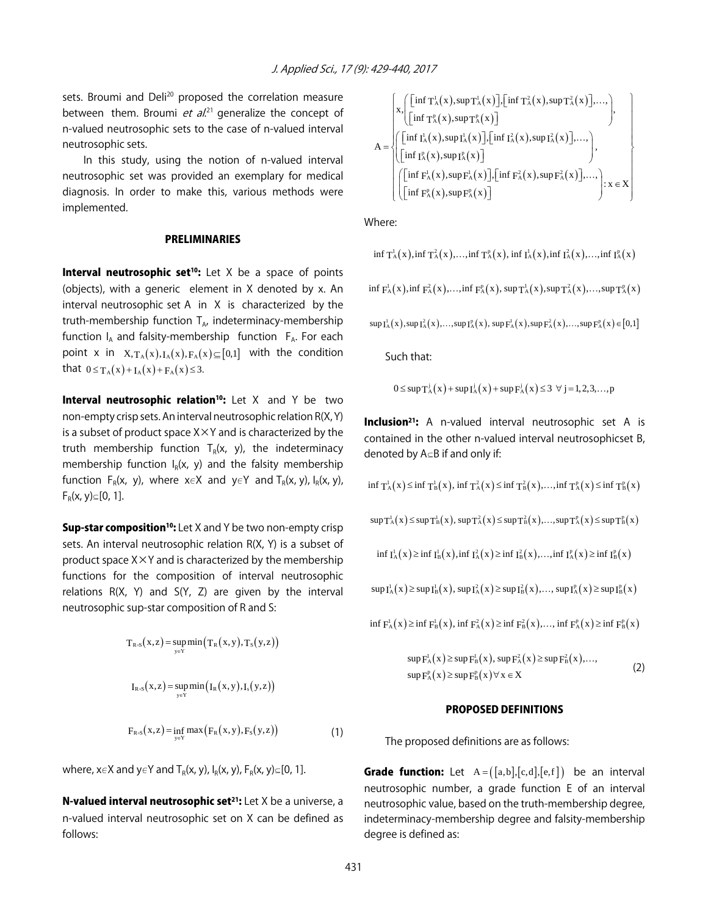sets. Broumi and Deli<sup>20</sup> proposed the correlation measure between them. Broumi *et al*.<sup>21</sup> generalize the concept of n-valued neutrosophic sets to the case of n-valued interval neutrosophic sets.

In this study, using the notion of n-valued interval neutrosophic set was provided an exemplary for medical diagnosis. In order to make this, various methods were implemented.

#### PRELIMINARIES

**Interval neutrosophic set<sup>10</sup>:** Let  $X$  be a space of points (objects), with a generic element in X denoted by x. An interval neutrosophic set A in X is characterized by the truth-membership function  $T_{A}$ , indeterminacy-membership function  $I_A$  and falsity-membership function  $F_A$ . For each point x in  $X, T_A(x), I_A(x), F_A(x) \subseteq [0,1]$  with the condition that  $0 \le T_A(x) + I_A(x) + F_A(x) \le 3$ .

Interval neutrosophic relation<sup>10</sup>: Let X and Y be two non-empty crisp sets. An interval neutrosophic relation R(X, Y) is a subset of product space  $X \times Y$  and is characterized by the truth membership function  $T_R(x, y)$ , the indeterminacy membership function  $I_R(x, y)$  and the falsity membership function  $F_R(x, y)$ , where  $x \in X$  and  $y \in Y$  and  $T_R(x, y)$ ,  $I_R(x, y)$ ,  $F_R(x, y) \subseteq [0, 1].$ 

**Sup-star composition<sup>10</sup>:** Let X and Y be two non-empty crisp sets. An interval neutrosophic relation R(X, Y) is a subset of product space  $X \times Y$  and is characterized by the membership functions for the composition of interval neutrosophic relations R(X, Y) and S(Y, Z) are given by the interval neutrosophic sup-star composition of R and S:

$$
T_{R\cdot S}(x,z) = \sup_{y \in Y} \min \left( T_R(x,y), T_S(y,z) \right)
$$
  

$$
I_{R\cdot S}(x,z) = \sup_{y \in Y} \min \left( I_R(x,y), I_S(y,z) \right)
$$
  

$$
F_{R\cdot S}(x,z) = \inf_{y \in Y} \max \left( F_R(x,y), F_S(y,z) \right) \tag{1}
$$

where,  $x \in X$  and  $y \in Y$  and  $T_R(x, y)$ ,  $I_R(x, y)$ ,  $F_R(x, y) \subseteq [0, 1]$ .

**N-valued interval neutrosophic set<sup>21</sup>:** Let  $X$  be a universe, a n-valued interval neutrosophic set on X can be defined as follows:

$$
A = \begin{cases} x \left( \left[ \inf T_A^1(x), \sup T_A^1(x) \right], \left[ \inf T_A^2(x), \sup T_A^2(x) \right], \dots, \right), \\ \left[ \inf T_A^p(x), \sup T_A^p(x) \right] \\ \left( \left[ \inf T_A^1(x), \sup T_A^1(x) \right], \left[ \inf T_A^2(x), \sup T_A^2(x) \right], \dots, \right) \\ \left[ \left[ \inf T_A^p(x), \sup T_A^p(x) \right] \right) \\ \left( \left[ \inf F_A^1(x), \sup F_A^1(x) \right], \left[ \inf F_A^2(x), \sup F_A^2(x) \right], \dots, \right) : x \in X \\ \left[ \left[ \inf F_A^p(x), \sup F_A^p(x) \right] \right) \end{cases}
$$

Where:

$$
\inf T^1_A(x), \inf T^2_A(x), \ldots, \inf T^p_A(x), \inf I^1_A(x), \inf I^2_A(x), \ldots, \inf I^p_A(x)
$$

 $\inf F_{A}^{1}(x), \inf F_{A}^{2}(x), \dots, \inf F_{A}^{p}(x), \sup T_{A}^{1}(x), \sup T_{A}^{2}(x), \dots, \sup T_{A}^{p}(x)$ 

 $\sup I_{A}^{1}(x), \sup I_{A}^{2}(x), \ldots, \sup I_{A}^{p}(x), \sup F_{A}^{1}(x), \sup F_{A}^{2}(x), \ldots, \sup F_{A}^{p}(x) \in [0,1]$ 

Such that:

$$
0 \leq \sup T_A^j(x) + \sup I_A^j(x) + \sup F_A^j(x) \leq 3 \ \forall \ j = 1, 2, 3, \dots, p
$$

**Inclusion<sup>21</sup>:** A n-valued interval neutrosophic set A is contained in the other n-valued interval neutrosophicset B, denoted by  $A \subseteq B$  if and only if:

$$
\inf T^1_A(x) \leq \inf T^1_B(x), \inf T^2_A(x) \leq \inf T^2_B(x), \dots, \inf T^p_A(x) \leq \inf T^p_B(x)
$$

$$
sup T_A^1(x) \leq sup T_B^1(x), sup T_A^2(x) \leq sup T_B^2(x), ..., sup T_A^p(x) \leq sup T_B^p(x)
$$

$$
\inf I^1_A(x) \geq \inf I^1_B(x), \inf I^2_A(x) \geq \inf I^2_B(x), \dots, \inf I^p_A(x) \geq \inf I^p_B(x)
$$

$$
\textstyle\sup I^1_A(x)\!\geq\!\sup I^1_B(x),\,\sup I^2_A(x)\!\geq\!\sup I^2_B(x),\!\dots,\,\sup I^p_A(x)\!\geq\!\sup I^p_B(x)
$$

$$
\inf F_A^1(x) \geq \inf F_B^1(x), \inf F_A^2(x) \geq \inf F_B^2(x), \dots, \inf F_A^p(x) \geq \inf F_B^p(x)
$$

$$
\sup F_{A}^{1}(x) \ge \sup F_{B}^{1}(x), \sup F_{A}^{2}(x) \ge \sup F_{B}^{2}(x), ...,
$$
  
\n
$$
\sup F_{A}^{p}(x) \ge \sup F_{B}^{p}(x) \forall x \in X
$$
\n(2)

#### PROPOSED DEFINITIONS

The proposed definitions are as follows:

**Grade function:** Let  $A = ([a,b],[c,d],[e,f])$  be an interval neutrosophic number, a grade function E of an interval neutrosophic value, based on the truth-membership degree, indeterminacy-membership degree and falsity-membership degree is defined as: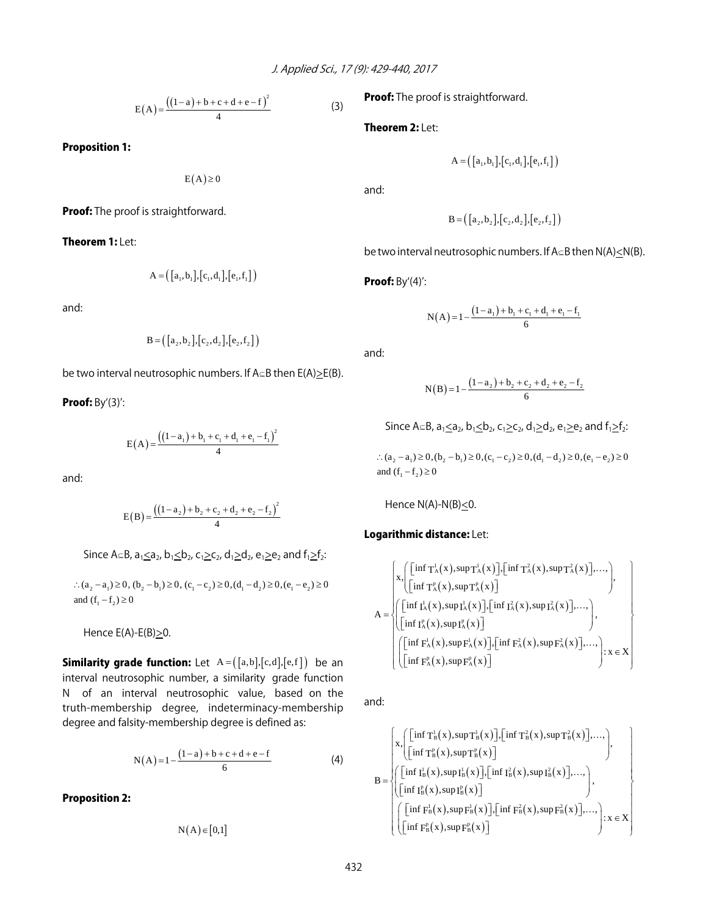$$
E(A) = \frac{((1-a)+b+c+d+e-f)^2}{4}
$$
 (3)

Proposition 1:

 $E(A) \geq 0$ 

**Proof:** The proof is straightforward.

Theorem 1: Let:

$$
A = ([a1, b1],[c1, d1],[e1,f1])
$$

and:

$$
\mathbf{B} = ( [a_2, b_2], [c_2, d_2], [e_2, f_2] )
$$

be two interval neutrosophic numbers. If  $A \subseteq B$  then  $E(A) > E(B)$ .

Proof: By'(3)':

$$
E(A) = \frac{((1-a_1) + b_1 + c_1 + d_1 + e_1 - f_1)^2}{4}
$$

and:

$$
E(B) = \frac{((1-a_2) + b_2 + c_2 + d_2 + e_2 - f_2)^2}{4}
$$

Since A $\subseteq$ B, a<sub>1</sub><a<sub>2</sub>, b<sub>1</sub><br/>sb<sub>2</sub>, c<sub>1</sub>>c<sub>2</sub>, d<sub>1</sub>>d<sub>2</sub>, e<sub>1</sub>>e<sub>2</sub> and f<sub>1</sub>>f<sub>2</sub>:

∴  $(a_2 - a_1) \ge 0$ ,  $(b_2 - b_1) \ge 0$ ,  $(c_1 - c_2) \ge 0$ ,  $(d_1 - d_2) \ge 0$ ,  $(e_1 - e_2) \ge 0$ and  $(f_1 - f_2) \ge 0$ 

Hence  $E(A)-E(B)\geq 0$ .

**Similarity grade function:** Let  $A = (\lceil a,b \rceil, [c,d], [e,f] )$  be an interval neutrosophic number, a similarity grade function N of an interval neutrosophic value, based on the truth-membership degree, indeterminacy-membership degree and falsity-membership degree is defined as:

$$
N(A) = 1 - \frac{(1-a) + b + c + d + e - f}{6}
$$
 (4)

Proposition 2:

$$
N(A) \in [0,1]
$$

**Proof:** The proof is straightforward.

Theorem 2: Let:

$$
A = ([a1, b1],[c1,d1],[e1,f1])
$$

and:

$$
\mathbf{B} = ([a_2, b_2], [c_2, d_2], [e_2, f_2])
$$

be two interval neutrosophic numbers. If  $A \subseteq B$  then  $N(A) \le N(B)$ .

Proof: By'(4)':

$$
N(A) = 1 - \frac{(1 - a_1) + b_1 + c_1 + d_1 + e_1 - f_1}{6}
$$

and:

$$
N(B) = 1 - \frac{(1 - a_2) + b_2 + c_2 + d_2 + e_2 - f_2}{6}
$$

Since A $\subseteq$ B, a<sub>1</sub> $\leq$ a<sub>2</sub>, b<sub>1</sub> $\leq$ b<sub>2</sub>, c<sub>1</sub> $\geq$ c<sub>2</sub>, d<sub>1</sub> $\geq$ d<sub>2</sub>, e<sub>1</sub> $\geq$ e<sub>2</sub> and f<sub>1</sub> $\geq$ f<sub>2</sub>:

 $2(a_2 - a_1) \ge 0$ ,  $(b_2 - b_1) \ge 0$ ,  $(c_1 - c_2) \ge 0$ ,  $(d_1 - d_2) \ge 0$ ,  $(e_1 - e_2) \ge 0$ and  $(f_1 - f_2) \ge 0$ 

Hence  $N(A)-N(B)\leq 0$ .

### Logarithmic distance: Let:

$$
A = \begin{cases} x \cdot \begin{pmatrix} \left[ \inf T_A^1(x), \sup T_A^1(x) \right], \left[ \inf T_A^2(x), \sup T_A^2(x) \right], \dots, \\ \left[ \inf T_A^p(x), \sup T_A^p(x) \right] \end{pmatrix}, \\ A = \begin{cases} \left[ \inf T_A^1(x), \sup T_A^1(x) \right], \left[ \inf T_A^2(x), \sup T_A^2(x) \right], \dots, \\ \left[ \inf T_A^p(x), \sup T_A^p(x) \right] \end{cases}, \\ \left( \begin{bmatrix} \left[ \inf F_A^1(x), \sup F_A^1(x) \right], \left[ \inf F_A^2(x), \sup F_A^2(x) \right], \dots, \\ \left[ \left[ \inf F_A^p(x), \sup F_A^p(x) \right] \end{bmatrix} \right] & \geq x \in X \end{cases}
$$

and:

$$
B=\left(\begin{aligned} &x, \begin{bmatrix} \big[\inf T_B^l(x), \sup T_B^l(x)\big], \big[\inf T_B^2(x), \sup T_B^2(x)\big], \dots, \\ \big[\inf T_B^p(x), \sup T_B^p(x)\big] \end{bmatrix}, \\ &B=\left(\begin{aligned} &\big[\inf T_B^l(x), \sup T_B^l(x)\big], \big[\inf T_B^i(x), \sup T_B^2(x)\big], \dots, \\ \big[\inf T_B^p(x), \sup T_B^p(x)\big] \end{aligned}\right), \\ &\left(\begin{aligned} &\big[\inf F_B^l(x), \sup F_B^l(x)\big], \big[\inf F_B^2(x), \sup F_B^2(x)\big], \dots, \\ \big[\big[\inf F_B^p(x), \sup F_B^p(x)\big] \end{aligned}\right): x\in X\right) \end{aligned}\right)
$$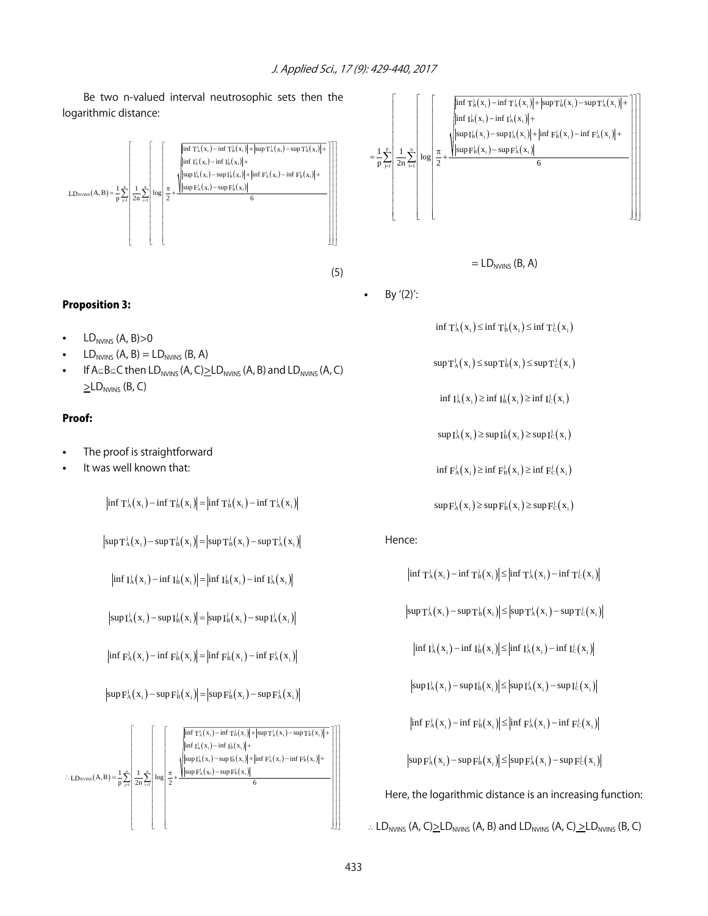Be two n-valued interval neutrosophic sets then the logarithmic distance:



# Proposition 3:

- $LD<sub>NVINS</sub>$  (A, B) $>0$
- $LD<sub>NVINS</sub>$  (A, B) =  $LD<sub>NVINS</sub>$  (B, A)
- If  $A \subseteq B \subseteq C$  then  $LD_{NVINS}$  (A, C) $\succeq LD_{NVINS}$  (A, B) and  $LD_{NVINS}$  (A, C)  $\Sigma$ LD<sub>NVINS</sub> (B, C)

### Proof:

- The proof is straightforward
- It was well known that:

 $\left|\inf T_{A}^{j}(x_i)-\inf T_{B}^{j}(x_i)\right|=\left|\inf T_{B}^{j}(x_i)-\inf T_{A}^{j}(x_i)\right|$ 

$$
\left|\sup T_A^j(x_i) - \sup T_B^j(x_i)\right| = \left|\sup T_B^j(x_i) - \sup T_A^j(x_i)\right|
$$

 $\left|\inf I_{A}^{j}(x_{i}) - \inf I_{B}^{j}(x_{i})\right| = \left|\inf I_{B}^{j}(x_{i}) - \inf I_{A}^{j}(x_{i})\right|$ 

 $|\sup I_{A}^{j}(x_i) - \sup I_{B}^{j}(x_i)| = |\sup I_{B}^{j}(x_i) - \sup I_{A}^{j}(x_i)|$ 

$$
\left|\inf F_{A}^{j}(x_{i}) - \inf F_{B}^{j}(x_{i})\right| = \left|\inf F_{B}^{j}(x_{i}) - \inf F_{A}^{j}(x_{i})\right|
$$

 $|\sup \mathbf{F}_{\mathbf{A}}^{j}(\mathbf{x}_{i}) - \sup \mathbf{F}_{\mathbf{B}}^{j}(\mathbf{x}_{i})| = |\sup \mathbf{F}_{\mathbf{B}}^{j}(\mathbf{x}_{i}) - \sup \mathbf{F}_{\mathbf{A}}^{j}(\mathbf{x}_{i})|$ 





$$
=LD_{NVINS} (B, A)
$$

By  $'(2)'$ :

 $\inf T_A^j(x_i) \leq \inf T_B^j(x_i) \leq \inf T_C^j(x_i)$ 

 $sup T_A^j(x_i) \leq sup T_B^j(x_i) \leq sup T_C^j(x_i)$ 

inf  $I_A^j(x_i) \ge \inf I_B^j(x_i) \ge \inf I_C^j(x_i)$ 

 $\sup I_{A}^{j}(x_i) \geq \sup I_{B}^{j}(x_i) \geq \sup I_{C}^{j}(x_i)$ 

inf  $F_A^j(x_i) \ge \inf F_B^j(x_i) \ge \inf F_C^j(x_i)$ 

$$
\sup F_A^j(x_i) \ge \sup F_B^j(x_i) \ge \sup F_C^j(x_i)
$$

Hence:

 $\left|\inf T_{A}^{j}(x_i) - \inf T_{B}^{j}(x_i)\right| \leq \left|\inf T_{A}^{j}(x_i) - \inf T_{C}^{j}(x_i)\right|$ 

 $|\sup T_A^j(x_i) - \sup T_B^j(x_i)| \leq |\sup T_A^j(x_i) - \sup T_C^j(x_i)|$ 

 $\left|\inf I_{A}^{j}(x_i)-\inf I_{B}^{j}(x_i)\right|\leq\left|\inf I_{A}^{j}(x_i)-\inf I_{C}^{j}(x_i)\right|$ 

$$
\left|\sup I_{A}^{j}(x_{i})-\sup I_{B}^{j}(x_{i})\right|\leq\left|\sup I_{A}^{j}(x_{i})-\sup I_{C}^{j}(x_{i})\right|
$$

$$
\left|\inf F_A^j(x_i) - \inf F_B^j(x_i)\right| \leq \left|\inf F_A^j(x_i) - \inf F_C^j(x_i)\right|
$$

 $|\sup F_A^j(x_i) - \sup F_B^j(x_i)| \leq |\sup F_A^j(x_i) - \sup F_C^j(x_i)|$ 

Here, the logarithmic distance is an increasing function:

 $\therefore$  LD<sub>NVINS</sub> (A, C) $\geq$ LD<sub>NVINS</sub> (A, B) and LD<sub>NVINS</sub> (A, C)  $\geq$ LD<sub>NVINS</sub> (B, C)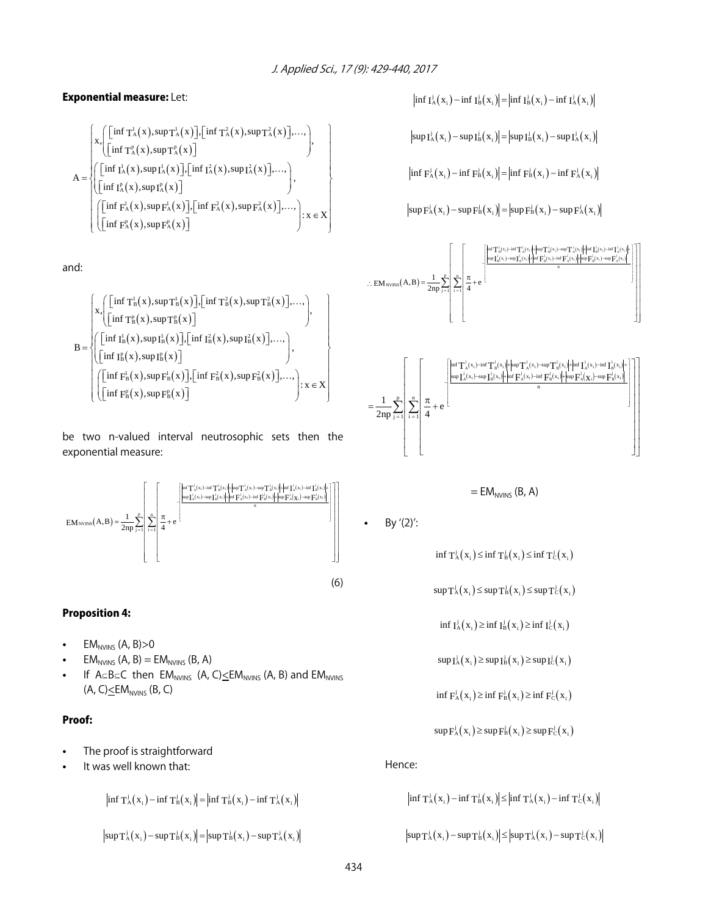# Exponential measure: Let:

$$
A = \begin{pmatrix} x \cdot \begin{pmatrix} \left[ \inf T_A^1(x), \sup T_A^1(x) \right], \left[ \inf T_A^2(x), \sup T_A^2(x) \right], \dots, \\ \left[ \inf T_A^p(x), \sup T_A^p(x) \right] \end{pmatrix}, \\ A = \begin{pmatrix} \left[ \inf T_A^1(x), \sup T_A^1(x) \right], \left[ \inf T_A^2(x), \sup T_A^2(x) \right], \dots, \\ \left[ \left[ \inf T_A^p(x), \sup T_A^p(x) \right] \end{pmatrix}, \\ \left[ \left[ \inf F_A^1(x), \sup F_A^1(x) \right], \left[ \inf F_A^2(x), \sup F_A^2(x) \right], \dots, \right), \\ \left[ \left[ \inf F_A^p(x), \sup F_A^p(x) \right] \end{pmatrix} : x \in X \end{pmatrix}
$$

and:

$$
B=\left\{\begin{aligned} &x,\left(\begin{bmatrix}\inf T_B^1(x),\sup T_B^1(x)\end{bmatrix}\hspace{-0.5mm},\!\!\!\!\!\inf T_B^2(x),\sup T_B^2(x)\hspace{-0.5mm}\right]\hspace{-0.5mm},\dots,\\ &\left(\begin{bmatrix}\inf T_B^1(x),\sup T_B^2(x)\end{bmatrix}\hspace{-0.5mm}\right)\hspace{-0.5mm},\\ &B=\left\{\begin{bmatrix}\big[\inf T_B^1(x),\sup T_B^1(x)\big]\hspace{-0.5mm},\!\!\!\!\!\inf T_B^2(x),\sup T_B^2(x)\big]\hspace{-0.5mm},\dots,\\ &\left(\begin{bmatrix}\inf T_B^1(x),\sup T_B^1(x)\end{bmatrix}\hspace{-0.5mm},\!\!\!\!\!\inf T_B^2(x),\sup F_B^2(x)\big]\hspace{-0.5mm},\dots,\\ &\left(\begin{bmatrix}\big[\inf F_B^1(x),\sup F_B^1(x)\big]\hspace{-0.5mm},\!\!\!\!\inf F_B^2(x)\big]\hspace{-0.5mm},\dots,\\ &\left[\begin{bmatrix}\inf F_B^2(x),\sup F_B^2(x)\end{bmatrix\hspace{-0.5mm}\right]\hspace{-0.5mm}\right]\hspace{-0.5mm}.\times\in X\end{aligned}\right\}.
$$

be two n-valued interval neutrosophic sets then the exponential measure:



# Proposition 4:

- $EM<sub>NVINS</sub>$  (A, B) $>0$
- $EM<sub>NVINS</sub>$  (A, B) = E $M<sub>NVINS</sub>$  (B, A)
- If  $A \subseteq B \subseteq C$  then  $EM_{NVINS}$  (A, C) $\leq EM_{NVINS}$  (A, B) and  $EM_{NVINS}$  $(A, C) \leq EM_{NVINS} (B, C)$

#### Proof:

- The proof is straightforward
- It was well known that:

 $\left|\inf T_{A}^{j}(x_i)-\inf T_{B}^{j}(x_i)\right|=\left|\inf T_{B}^{j}(x_i)-\inf T_{A}^{j}(x_i)\right|$ 

$$
sup T_{A}^{j}(x_{i})-sup T_{B}^{j}(x_{i})=|sup T_{B}^{j}(x_{i})-sup T_{A}^{j}(x_{i})|
$$

 $\left|\inf I_{A}^{j}(x_{i}) - \inf I_{B}^{j}(x_{i})\right| = \left|\inf I_{B}^{j}(x_{i}) - \inf I_{A}^{j}(x_{i})\right|$ 

$$
\left|\text{sup}\,I_{\text{A}}^{\text{j}}\!\left(\boldsymbol{x}_{\text{i}}\right)\!-\!\text{sup}\,I_{\text{B}}^{\text{j}}\!\left(\boldsymbol{x}_{\text{i}}\right)\!\right|\!=\!\left|\text{sup}\,I_{\text{B}}^{\text{j}}\!\left(\boldsymbol{x}_{\text{i}}\right)\!-\!\text{sup}\,I_{\text{A}}^{\text{j}}\!\left(\boldsymbol{x}_{\text{i}}\right)\!\right|
$$

$$
\left\vert \inf\, F_{A}^{j}\!\left( x_{_{i}}\right) \!-\!\inf\, F_{B}^{j}\!\left( x_{_{i}}\right) \right\vert \!=\!\left\vert \inf\, F_{B}^{j}\!\left( x_{_{i}}\right) \!-\!\inf\, F_{A}^{j}\!\left( x_{_{i}}\right) \right\vert
$$

$$
\left\vert \sup\nolimits_{\mathbf{F}^j_{\mathbf{A}}} \left(\mathbf{x}_i\right)-\sup\nolimits_{\mathbf{F}^j_{\mathbf{B}}} \left(\mathbf{x}_i\right)\right\vert=\left\vert \sup\nolimits_{\mathbf{F}^j_{\mathbf{B}}} \left(\mathbf{x}_i\right)-\sup\nolimits_{\mathbf{F}^j_{\mathbf{A}}} \left(\mathbf{x}_i\right)\right\vert
$$



$$
=EM_{NVINS} (B, A)
$$

$$
\bullet\qquad\text{By}\;{}'(2)'\text{:}
$$

$$
\inf \mathsf{T}_{\mathsf{A}}^{\mathsf{j}}\big(\mathsf{x}_{\mathsf{i}}\big) \leq \inf \mathsf{T}_{\mathsf{B}}^{\mathsf{j}}\big(\mathsf{x}_{\mathsf{i}}\big) \leq \inf \mathsf{T}_{\mathsf{C}}^{\mathsf{j}}\big(\mathsf{x}_{\mathsf{i}}\big)
$$

$$
sup T_A^j(x_i) \leq sup T_B^j(x_i) \leq sup T_C^j(x_i)
$$

$$
\inf I_{A}^{j}(x_{i}) \geq \inf I_{B}^{j}(x_{i}) \geq \inf I_{C}^{j}(x_{i})
$$

$$
\sup I_A^j(x_i) \ge \sup I_B^j(x_i) \ge \sup I_C^j(x_i)
$$

$$
\inf \mathrm{F}^{\mathrm{j}}_{\mathrm{A}}\big(x_{\mathrm{i}}\big) \geq \inf \mathrm{F}^{\mathrm{j}}_{\mathrm{B}}\big(x_{\mathrm{i}}\big) \geq \inf \mathrm{F}^{\mathrm{j}}_{\mathrm{C}}\big(x_{\mathrm{i}}\big)
$$

$$
\sup F_A^j(x_i) \geq \sup F_B^j(x_i) \geq \sup F_C^j(x_i)
$$

#### Hence:

$$
\begin{aligned} &\left|\inf \mathsf{T}_{\mathsf{A}}^{\mathsf{j}}\left(\mathsf{x}_{\mathsf{i}}\right)-\inf \mathsf{T}_{\mathsf{B}}^{\mathsf{j}}\left(\mathsf{x}_{\mathsf{i}}\right)\right| \leq\left|\inf \mathsf{T}_{\mathsf{A}}^{\mathsf{j}}\left(\mathsf{x}_{\mathsf{i}}\right)-\inf \mathsf{T}_{\mathsf{C}}^{\mathsf{j}}\left(\mathsf{x}_{\mathsf{i}}\right)\right| \\ &\sup \mathsf{T}_{\mathsf{A}}^{\mathsf{j}}\left(\mathsf{x}_{\mathsf{i}}\right)-\sup \mathsf{T}_{\mathsf{B}}^{\mathsf{j}}\left(\mathsf{x}_{\mathsf{i}}\right)\right| \leq\left|\sup \mathsf{T}_{\mathsf{A}}^{\mathsf{j}}\left(\mathsf{x}_{\mathsf{i}}\right)-\sup \mathsf{T}_{\mathsf{C}}^{\mathsf{j}}\left(\mathsf{x}_{\mathsf{i}}\right)\right| \end{aligned}
$$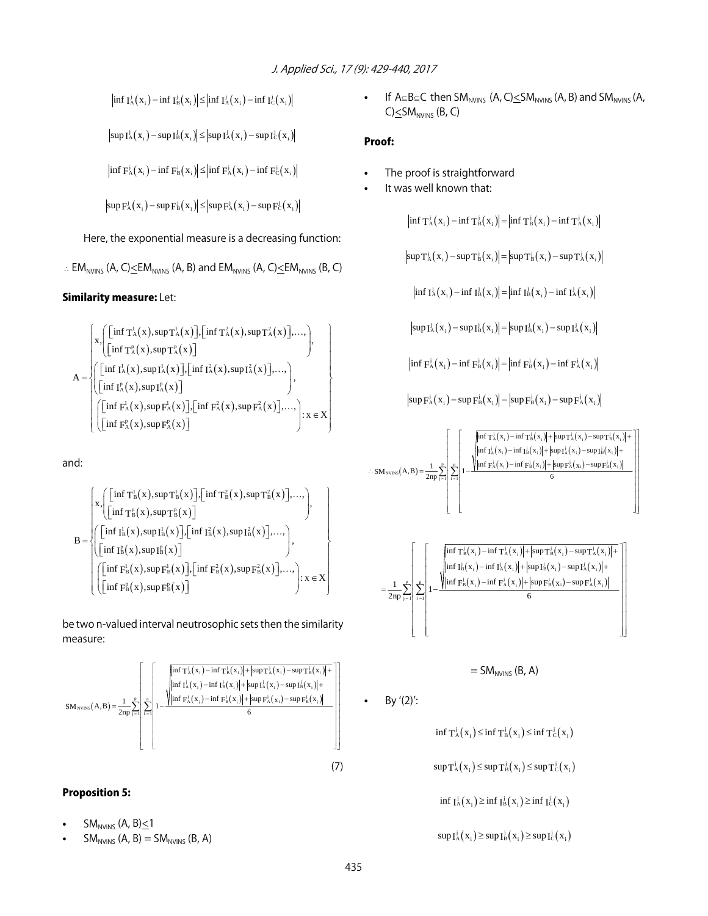$\left|\inf I_{A}^{j}(x_i)-\inf I_{B}^{j}(x_i)\right|\leq\left|\inf I_{A}^{j}(x_i)-\inf I_{C}^{j}(x_i)\right|$ 

$$
\left|\text{sup}\,I_{\text{A}}^{\text{j}}\big(\,x_{_{\text{i}}}\,\big)-\text{sup}\,I_{\text{B}}^{\text{j}}\big(\,x_{_{\text{i}}}\,\big)\right|\leq\left|\text{sup}\,I_{\text{A}}^{\text{j}}\big(\,x_{_{\text{i}}}\,\big)-\text{sup}\,I_{\text{C}}^{\text{j}}\big(\,x_{_{\text{i}}}\,\big)\right|
$$

$$
\left|\inf F_{A}^{j}(x_{i}) - \inf F_{B}^{j}(x_{i})\right| \leq \left|\inf F_{A}^{j}(x_{i}) - \inf F_{C}^{j}(x_{i})\right|
$$

$$
\left|\sup F_{A}^{j}(x_{i}) - \sup F_{B}^{j}(x_{i})\right| \leq \left|\sup F_{A}^{j}(x_{i}) - \sup F_{C}^{j}(x_{i})\right|
$$

Here, the exponential measure is a decreasing function:

$$
\therefore EM_{NVINS} (A, C) \leq EM_{NVINS} (A, B) \text{ and } EM_{NVINS} (A, C) \leq EM_{NVINS} (B, C)
$$

#### Similarity measure: Let:

$$
A = \begin{cases} x \cdot \begin{pmatrix} \left[ \inf T_A^1(x), \sup T_A^1(x) \right], \left[ \inf T_A^2(x), \sup T_A^2(x) \right], \dots, \\ \left[ \inf T_A^p(x), \sup T_A^p(x) \right] \end{pmatrix}, \\ A = \begin{cases} \begin{pmatrix} \left[ \inf I_A^1(x), \sup T_A^1(x) \right], \left[ \inf I_A^2(x), \sup T_A^2(x) \right], \dots, \\ \left[ \left[ \inf I_A^p(x), \sup T_A^p(x) \right] \end{pmatrix}, \left[ \inf F_A^2(x), \sup F_A^2(x) \right], \dots, \\ \left[ \left[ \inf F_A^p(x), \sup F_A^p(x) \right] \end{pmatrix}, \left[ \inf F_A^2(x), \sup F_A^2(x) \right], \dots, \right); x \in X \end{cases}
$$

and:

$$
B = \begin{cases} x, \left[\left[\inf T_B^l(x), \sup T_B^l(x)\right], \left[\inf T_B^2(x), \sup T_B^2(x)\right], \dots, \atop \left[\inf T_B^p(x), \sup T_B^p(x)\right]\right], \\ \left(\left[\inf T_B^l(x), \sup T_B^l(x)\right], \left[\inf T_B^2(x), \sup T_B^2(x)\right], \dots, \atop \left[\inf T_B^l(x), \sup T_B^p(x)\right], \left[\inf T_B^2(x), \sup F_B^2(x)\right], \dots, \atop \left[\left[\inf T_B^l(x), \sup F_B^p(x)\right]\right] \end{cases}, x \in X
$$

be two n-valued interval neutrosophic sets then the similarity measure:



# Proposition 5:

- SM<sub>NVINS</sub> (A, B) $\leq$ 1
- $SM<sub>NVINS</sub>$  (A, B) =  $SM<sub>NVINS</sub>$  (B, A)

If  $A \subseteq B \subseteq C$  then SM<sub>NVINS</sub> (A, C) $\leq$ SM<sub>NVINS</sub> (A, B) and SM<sub>NVINS</sub> (A,  $C) \leq SM_{NVINS}$  (B, C)

### Proof:

- The proof is straightforward
- It was well known that:

$$
\left\vert \inf T_{A}^{j}\!\left( x_{_{i}}\right) -\inf T_{B}^{j}\!\left( x_{_{i}}\right) \right\vert \!=\!\left\vert \inf T_{B}^{j}\!\left( x_{_{i}}\right) -\inf T_{A}^{j}\!\left( x_{_{i}}\right) \right\vert
$$

$$
\left|\text{sup}\,T_{\text{A}}^{\text{j}}\!\left(x_{_{\text{i}}}\right)\!-\!\text{sup}\,T_{\text{B}}^{\text{j}}\!\left(x_{_{\text{i}}}\right)\right|\!=\!\left|\text{sup}\,T_{\text{B}}^{\text{j}}\!\left(x_{_{\text{i}}}\right)\!-\!\text{sup}\,T_{\text{A}}^{\text{j}}\!\left(x_{_{\text{i}}}\right)\right|
$$

$$
\left|\inf I_{A}^{j}(x_{i}) - \inf I_{B}^{j}(x_{i})\right| = \left|\inf I_{B}^{j}(x_{i}) - \inf I_{A}^{j}(x_{i})\right|
$$

$$
\left|\text{sup}\,I_{\text{A}}^{\text{j}}\!\left(\,x_{\text{i}}^{}\right)-\text{sup}\,I_{\text{B}}^{\text{j}}\!\left(\,x_{\text{i}}^{}\right)\right|\!=\!\left|\text{sup}\,I_{\text{B}}^{\text{j}}\!\left(\,x_{\text{i}}^{}\right)-\text{sup}\,I_{\text{A}}^{\text{j}}\!\left(\,x_{\text{i}}^{}\right)\right|
$$

$$
\inf F_{A}^{j}\left(x_{_{i}}\right)-\inf F_{B}^{j}\left(x_{_{i}}\right)\right|=\left|\inf F_{B}^{j}\left(x_{_{i}}\right)-\inf F_{A}^{j}\left(x_{_{i}}\right)\right|
$$

$$
\left|\sup \mathbf{F}_{\mathbf{A}}^{j}\left(\mathbf{x}_{i}\right)-\sup \mathbf{F}_{\mathbf{B}}^{j}\left(\mathbf{x}_{i}\right)\right|=\left|\sup \mathbf{F}_{\mathbf{B}}^{j}\left(\mathbf{x}_{i}\right)-\sup \mathbf{F}_{\mathbf{A}}^{j}\left(\mathbf{x}_{i}\right)\right|
$$



$$
=SM_{NVINS} (B, A)
$$

$$
\bullet\qquad\text{By }\text{'}(2)'\text{:}
$$

 $\inf T_A^j(x_i) \leq \inf T_B^j(x_i) \leq \inf T_C^j(x_i)$ 

 $sup T_A^j(x_i) \leq sup T_B^j(x_i) \leq sup T_C^j(x_i)$ 

inf  $I_A^j(x_i) \ge \inf I_B^j(x_i) \ge \inf I_C^j(x_i)$ 

 $\sup I_{A}^{j}(x_i) \geq \sup I_{B}^{j}(x_i) \geq \sup I_{C}^{j}(x_i)$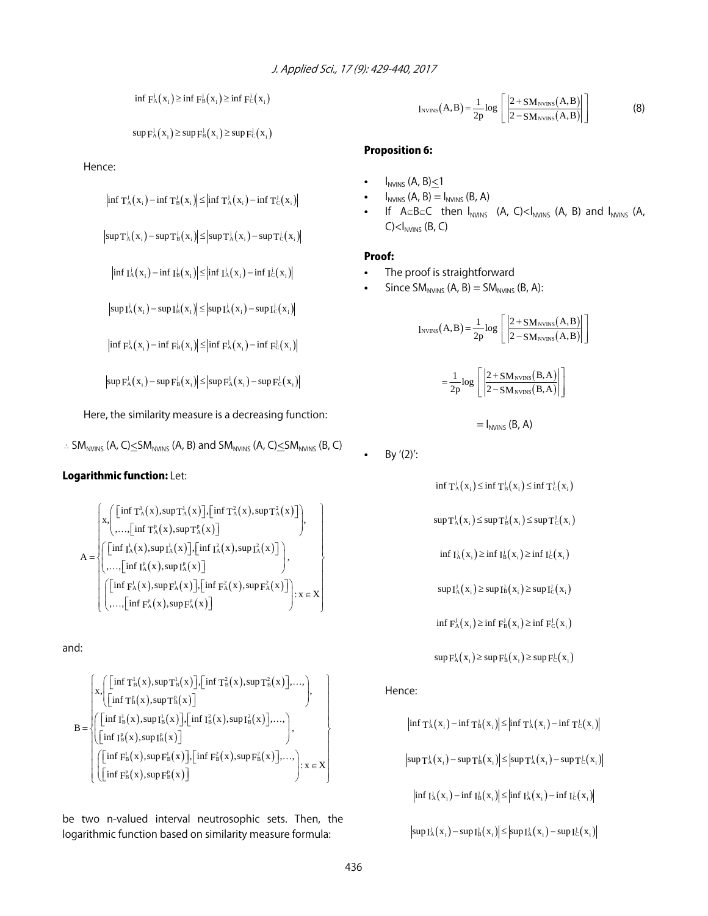inf  $F_A^j(x_i) \ge \inf F_B^j(x_i) \ge \inf F_C^j(x_i)$ 

$$
\sup \mathrm{F}_{\mathrm{A}}^{\mathrm{j}}\left(\mathrm{x}_{i}\right) \geq \sup \mathrm{F}_{\mathrm{B}}^{\mathrm{j}}\left(\mathrm{x}_{i}\right) \geq \sup \mathrm{F}_{\mathrm{C}}^{\mathrm{j}}\left(\mathrm{x}_{i}\right)
$$

Hence:

$$
\left|\inf T_A^j(x_i) - \inf T_B^j(x_i)\right| \leq \left|\inf T_A^j(x_i) - \inf T_C^j(x_i)\right|
$$

$$
\left|\text{sup} \, T_A^j\!\left(x_i\right)\!-\!\text{sup} \, T_B^j\!\left(x_i\right)\right|\!\leq\! \left|\text{sup} \, T_A^j\!\left(x_i\right)\!-\!\text{sup} \, T_C^j\!\left(x_i\right)\right|
$$

 $\left|\inf I_{A}^{j}(x_{i}) - \inf I_{B}^{j}(x_{i})\right| \leq \left|\inf I_{A}^{j}(x_{i}) - \inf I_{C}^{j}(x_{i})\right|$ 

 $|\sup I_A^j(x_i) - \sup I_B^j(x_i)| \leq |\sup I_A^j(x_i) - \sup I_C^j(x_i)|$ 

 $\left|\inf F_A^j(x_i) - \inf F_B^j(x_i)\right| \leq \left|\inf F_A^j(x_i) - \inf F_C^j(x_i)\right|$ 

 $|\sup \mathbf{F}^j_{\mathbf{A}}(\mathbf{x}_i) - \sup \mathbf{F}^j_{\mathbf{B}}(\mathbf{x}_i)| \leq |\sup \mathbf{F}^j_{\mathbf{A}}(\mathbf{x}_i) - \sup \mathbf{F}^j_{\mathbf{C}}(\mathbf{x}_i)|$ 

Here, the similarity measure is a decreasing function:

 $\therefore$  SM<sub>NVINS</sub> (A, C) $\leq$ SM<sub>NVINS</sub> (A, B) and SM<sub>NVINS</sub> (A, C) $\leq$ SM<sub>NVINS</sub> (B, C)

#### Logarithmic function: Let:

$$
A = \begin{cases} x \cdot \begin{pmatrix} \left[ \inf T_A^1(x), \sup T_A^1(x) \right], \left[ \inf T_A^2(x), \sup T_A^2(x) \right] \\ \dots, \left[ \inf T_A^p(x), \sup T_A^p(x) \right] \end{pmatrix}, \\ A = \begin{cases} \left[ \inf T_A^1(x), \sup T_A^1(x) \right], \left[ \inf T_A^2(x), \sup T_A^2(x) \right] \\ \dots, \left[ \inf T_A^p(x), \sup T_A^p(x) \right] \end{cases}, \\ \left( \left[ \inf F_A^1(x), \sup F_A^1(x) \right], \left[ \inf F_A^2(x), \sup F_A^2(x) \right] \right); x \in X \end{cases}
$$

and:

$$
B = \begin{cases} x, \left[\left[\inf T_B^l(x), \sup T_B^l(x)\right], \left[\inf T_B^2(x), \sup T_B^2(x)\right], \dots\right], \\ \left[\left[\inf T_B^p(x), \sup T_B^p(x)\right] \\ \left(\left[\inf I_B^l(x), \sup I_B^l(x)\right], \left[\inf I_B^2(x), \sup I_B^2(x)\right], \dots\right), \\ \left[\left[\inf I_B^p(x), \sup I_B^p(x)\right], \left[\inf F_B^2(x), \sup F_B^2(x)\right], \dots\right), \\ \left[\left[\inf F_B^l(x), \sup F_B^p(x)\right] \end{cases} \right) x \in X
$$

be two n-valued interval neutrosophic sets. Then, the logarithmic function based on similarity measure formula:

$$
l_{\text{NVINS}}(A, B) = \frac{1}{2p} \log \left[ \left| \frac{2 + SM_{\text{NVINS}}(A, B)}{2 - SM_{\text{NVINS}}(A, B)} \right| \right]
$$
(8)

### Proposition 6:

- $I_{NVINS}$  (A, B) $\leq$ 1
- $I_{NVINS}$  (A, B) =  $I_{NVINS}$  (B, A)
- If  $A \subseteq B \subseteq C$  then  $I_{NVINS}$  (A, C)< $I_{NVINS}$  (A, B) and  $I_{NVINS}$  (A,  $C$ )  $<$   $I<sub>NVINS</sub>$  (B, C)

#### Proof:

- The proof is straightforward
- Since  $SM_{NVINS}$  (A, B) =  $SM_{NVINS}$  (B, A):

$$
l_{\text{NVINS}}(A, B) = \frac{1}{2p} \log \left[ \left| \frac{2 + SM_{\text{NVINS}}(A, B)}{2 - SM_{\text{NVINS}}(A, B)} \right| \right]
$$

$$
= \frac{1}{2p} \log \left[ \left| \frac{2 + SM_{NVINS}(B, A)}{2 - SM_{NVINS}(B, A)} \right| \right]
$$

$$
= I_{NVINS} (B, A)
$$

$$
\bullet\qquad\text{By}\text{ }^\prime(2)^\prime\text{:}
$$

 $\inf T_{A}^{j}(x_i) \leq \inf T_{B}^{j}(x_i) \leq \inf T_{C}^{j}(x_i)$ 

$$
\text{sup} \, T_A^j\big(x_{_i}\big) \! \leq \! \text{sup} \, T_B^j\big(x_{_i}\big) \! \leq \! \text{sup} \, T_C^j\big(x_{_i}\big)
$$

$$
\inf I_A^j(x_i) \ge \inf I_B^j(x_i) \ge \inf I_C^j(x_i)
$$

$$
\sup I_A^j(x_i) \ge \sup I_B^j(x_i) \ge \sup I_C^j(x_i)
$$

inf  $F_A^j(x_i) \ge \inf F_B^j(x_i) \ge \inf F_C^j(x_i)$ 

$$
\sup \mathrm{F}_{\mathrm{A}}^{\mathrm{j}}\left(\mathrm{x}_{\mathrm{i}}\right) \geq \sup \mathrm{F}_{\mathrm{B}}^{\mathrm{j}}\left(\mathrm{x}_{\mathrm{i}}\right) \geq \sup \mathrm{F}_{\mathrm{C}}^{\mathrm{j}}\left(\mathrm{x}_{\mathrm{i}}\right)
$$

Hence:

$$
\inf \mathsf{T}_{\mathrm{A}}^{\mathrm{j}}(\mathsf{x}_{\mathrm{i}})-\inf \mathsf{T}_{\mathrm{B}}^{\mathrm{j}}(\mathsf{x}_{\mathrm{i}})\big|\leq \big|\inf \mathsf{T}_{\mathrm{A}}^{\mathrm{j}}(\mathsf{x}_{\mathrm{i}})-\inf \mathsf{T}_{\mathrm{C}}^{\mathrm{j}}(\mathsf{x}_{\mathrm{i}})\big|
$$

$$
\left|\sup \mathsf{T}_{\mathsf{A}}^{\mathsf{j}}\left(\mathsf{x}_{\mathsf{i}}\right)-\sup \mathsf{T}_{\mathsf{B}}^{\mathsf{j}}\left(\mathsf{x}_{\mathsf{i}}\right)\right| \leq \left|\sup \mathsf{T}_{\mathsf{A}}^{\mathsf{j}}\left(\mathsf{x}_{\mathsf{i}}\right)-\sup \mathsf{T}_{\mathsf{C}}^{\mathsf{j}}\left(\mathsf{x}_{\mathsf{i}}\right)\right|
$$

 $\left|\inf I_{A}^{j}(x_{i})-\inf I_{B}^{j}(x_{i})\right| \leq \left|\inf I_{A}^{j}(x_{i})-\inf I_{C}^{j}(x_{i})\right|$ 

 $|\sup I_{A}^{j}(x_i)-\sup I_{B}^{j}(x_i)| \leq |\sup I_{A}^{j}(x_i)-\sup I_{C}^{j}(x_i)|$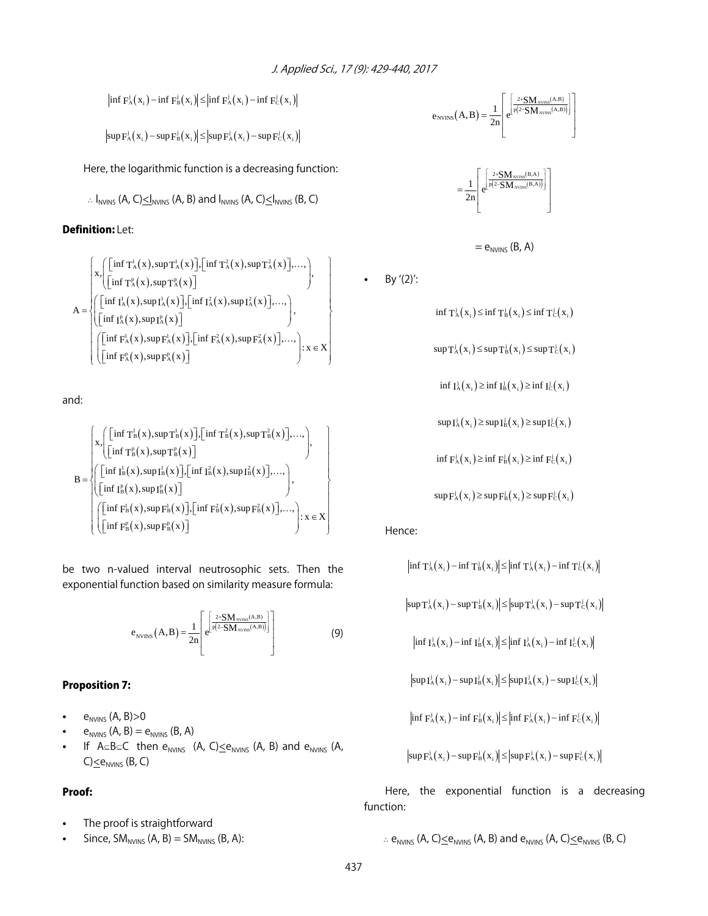$$
\left|\inf \mathbf{F}_{\mathbf{A}}^{j}(\mathbf{x}_{i}) - \inf \mathbf{F}_{\mathbf{B}}^{j}(\mathbf{x}_{i})\right| \leq \left|\inf \mathbf{F}_{\mathbf{A}}^{j}(\mathbf{x}_{i}) - \inf \mathbf{F}_{\mathbf{C}}^{j}(\mathbf{x}_{i})\right|
$$

 $|\sup \mathbf{F}_{\mathrm{A}}^{j}(\mathbf{x}_{i}) - \sup \mathbf{F}_{\mathrm{B}}^{j}(\mathbf{x}_{i})| \leq |\sup \mathbf{F}_{\mathrm{A}}^{j}(\mathbf{x}_{i}) - \sup \mathbf{F}_{\mathrm{C}}^{j}(\mathbf{x}_{i})|$ 

Here, the logarithmic function is a decreasing function:

$$
\therefore I_{NVINS} (A, C) \le I_{NVINS} (A, B) \text{ and } I_{NVINS} (A, C) \le I_{NVINS} (B, C)
$$

# Definition: Let:

$$
A = \begin{cases} x \cdot \begin{pmatrix} \left[ \inf T_A^1(x), \sup T_A^1(x) \right], \left[ \inf T_A^2(x), \sup T_A^2(x) \right], \dots, \\ \left[ \inf T_A^p(x), \sup T_A^p(x) \right] \end{pmatrix}, \\ A = \begin{cases} \begin{pmatrix} \left[ \inf T_A^1(x), \sup T_A^1(x) \right], \left[ \inf T_A^2(x), \sup T_A^2(x) \right], \dots, \\ \left[ \left[ \inf T_A^p(x), \sup T_A^p(x) \right] \end{pmatrix}, \left[ \inf F_A^2(x), \sup F_A^2(x) \right], \dots, \\ \left[ \left[ \inf F_A^p(x), \sup F_A^p(x) \right] \end{pmatrix}, \left[ \inf F_A^2(x), \sup F_A^2(x) \right], \dots, \right) : x \in X \end{cases}
$$

and:

$$
B = \begin{cases} x, \left[\left[\inf T_B^l(x), \sup T_B^l(x)\right], \left[\inf T_B^{\hat{s}}(x), \sup T_B^{\hat{s}}(x)\right], \dots, \atop \left[\inf T_B^l(x), \sup T_B^p(x)\right] \right) , \\ \left(\left[\inf T_B^l(x), \sup T_B^l(x)\right], \left[\inf T_B^{\hat{s}}(x), \sup T_B^{\hat{s}}(x)\right], \dots, \atop \left[\inf T_B^l(x), \sup F_B^l(x)\right], \left[\inf T_B^{\hat{s}}(x), \sup F_B^{\hat{s}}(x)\right], \dots, \atop \left[\left[\inf T_B^l(x), \sup F_B^l(x)\right] \right) \right] , x \in X \end{cases}
$$

be two n-valued interval neutrosophic sets. Then the exponential function based on similarity measure formula:

$$
e_{\text{NVINS}}(A, B) = \frac{1}{2n} \left[ e^{\left[ \frac{2 \cdot \text{SM}_{\text{NVRS}}(A, B)}{p(2 - \text{SM}_{\text{NVRS}}(A, B))} \right]} \right]
$$
(9)

#### Proposition 7:

- $\bullet$  e<sub>NVINS</sub> (A, B) > 0
- $e_{NVINS}$  (A, B) =  $e_{NVINS}$  (B, A)
- If  $A \subseteq B \subseteq C$  then  $e_{NVINS}$  (A, C) $\leq e_{NVINS}$  (A, B) and  $e_{NVINS}$  (A,  $C \leq e_{NVINS}$  (B, C)

### Proof:

- The proof is straightforward
- Since,  $SM<sub>NVINS</sub>$  (A, B) =  $SM<sub>NVINS</sub>$  (B, A):

$$
e_{\text{NVINS}}\!\left(A,B\right)\!=\!\frac{1}{2n}\!\!\left[e^{\!\!\left[\frac{2\text{+SM}_\text{NVBS}\!\left(A,B\right)}{p\left(2\text{--}SM}_\text{SVBS}\!\left(A,B\right)\right)\right]}\right]
$$



$$
= e_{N VINS} (B, A)
$$

• By  $'(2)'$ :

 $\inf T_A^j(x_i) \leq \inf T_B^j(x_i) \leq \inf T_C^j(x_i)$ 

$$
\sup \mathsf{T}_{\mathsf{A}}^{\mathsf{j}}\big(\mathsf{x}_{\mathsf{i}}\big) \leq \sup \mathsf{T}_{\mathsf{B}}^{\mathsf{j}}\big(\mathsf{x}_{\mathsf{i}}\big) \leq \sup \mathsf{T}_{\mathsf{C}}^{\mathsf{j}}\big(\mathsf{x}_{\mathsf{i}}\big)
$$

$$
\inf I^j_A(x_i) \geq \inf I^j_B(x_i) \geq \inf I^j_C(x_i)
$$

 $sup \mathbf{I}_{\mathbf{A}}^{j}(\mathbf{x}_{i}) \geq sup \mathbf{I}_{\mathbf{B}}^{j}(\mathbf{x}_{i}) \geq sup \mathbf{I}_{\mathbf{C}}^{j}(\mathbf{x}_{i})$ 

inf  $F_A^j(x_i) \ge \inf F_B^j(x_i) \ge \inf F_C^j(x_i)$ 

 $sup F_A^j(x_i) \geq sup F_B^j(x_i) \geq sup F_C^j(x_i)$ 

Hence:

$$
\begin{aligned} &\left|\inf T_A^j(x_i) - \inf T_B^j(x_i)\right| \leq &\left|\inf T_A^j(x_i) - \inf T_C^j(x_i)\right|\\[1mm] &\left|\sup T_A^j(x_i) - \sup T_B^j(x_i)\right| \leq &\left|\sup T_A^j(x_i) - \sup T_C^j(x_i)\right|\\[1mm] &\left|\inf I_A^j(x_i) - \inf I_B^j(x_i)\right| \leq &\left|\inf I_A^j(x_i) - \inf I_C^j(x_i)\right|\\[1mm] &\left|\sup I_A^j(x_i) - \sup I_B^j(x_i)\right| \leq &\left|\sup I_A^j(x_i) - \sup I_C^j(x_i)\right|\\[1mm] &\left|\inf F_A^j(x_i) - \inf F_B^j(x_i)\right| \leq &\left|\inf F_A^j(x_i) - \inf F_C^j(x_i)\right|\\[1mm] &\left|\sup F_A^j(x_i) - \sup F_B^j(x_i)\right| \leq &\left|\sup F_A^j(x_i) - \sup F_C^j(x_i)\right|\end{aligned}
$$

Here, the exponential function is a decreasing function:

$$
\therefore
$$
  $e_{NVINS}$  (A, C) $\leq e_{NVINS}$  (A, B) and  $e_{NVINS}$  (A, C) $\leq e_{NVINS}$  (B, C)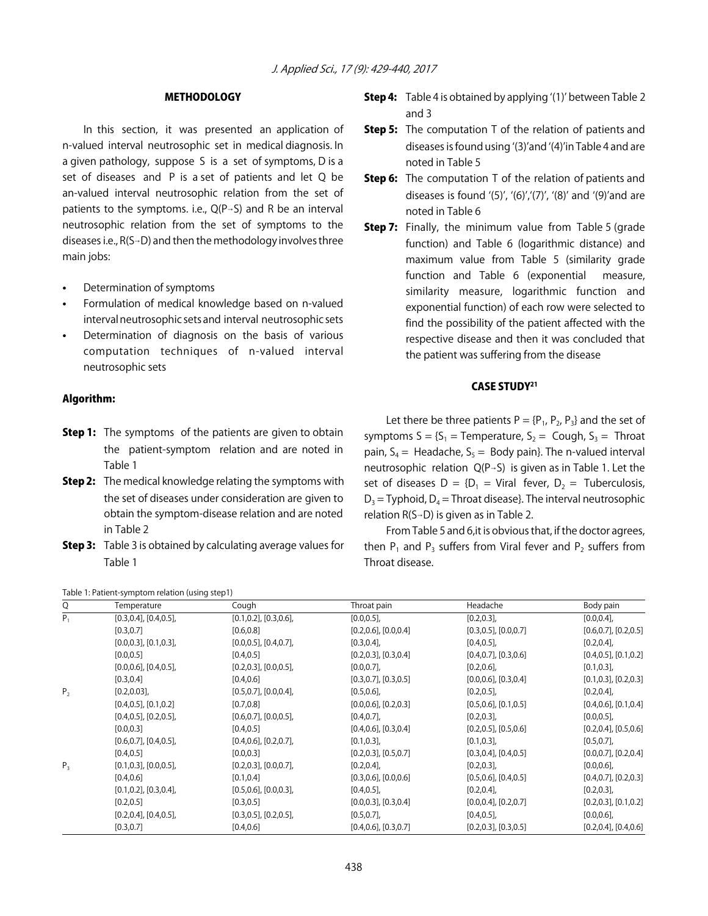#### **METHODOLOGY**

In this section, it was presented an application of n-valued interval neutrosophic set in medical diagnosis. In a given pathology, suppose S is a set of symptoms, D is a set of diseases and P is a set of patients and let Q be an-valued interval neutrosophic relation from the set of patients to the symptoms. i.e.,  $Q(P\rightarrow S)$  and R be an interval neutrosophic relation from the set of symptoms to the diseases i.e.,  $R(S-D)$  and then the methodology involves three main jobs:

- Determination of symptoms
- Formulation of medical knowledge based on n-valued interval neutrosophic sets and interval neutrosophic sets
- Determination of diagnosis on the basis of various computation techniques of n-valued interval neutrosophic sets

#### Algorithm:

- **Step 1:** The symptoms of the patients are given to obtain the patient-symptom relation and are noted in Table 1
- **Step 2:** The medical knowledge relating the symptoms with the set of diseases under consideration are given to obtain the symptom-disease relation and are noted in Table 2
- **Step 3:** Table 3 is obtained by calculating average values for Table 1

Table 1: Patient-symptom relation (using step1)

# Step 4: Table 4 is obtained by applying ʻ(1)' between Table 2 and 3

- **Step 5:** The computation T of the relation of patients and diseases is found using ʻ(3)'and ʻ(4)'in Table 4 and are noted in Table 5
- Step 6: The computation T of the relation of patients and diseases is found '(5)', '(6)','(7)', '(8)' and '(9)' and are noted in Table 6
- **Step 7:** Finally, the minimum value from Table 5 (grade function) and Table 6 (logarithmic distance) and maximum value from Table 5 (similarity grade function and Table 6 (exponential measure, similarity measure, logarithmic function and exponential function) of each row were selected to find the possibility of the patient affected with the respective disease and then it was concluded that the patient was suffering from the disease

#### CASE STUDY21

Let there be three patients  $P = {P_1, P_2, P_3}$  and the set of symptoms  $S = \{S_1 = \text{Temperature}, S_2 = \text{Cough}, S_3 = \text{Thread}\}\$ pain,  $S_4$  = Headache,  $S_5$  = Body pain}. The n-valued interval neutrosophic relation  $Q(P\rightarrow S)$  is given as in Table 1. Let the set of diseases  $D = {D_1 = \text{Viral } \text{fever, } D_2 = \text{Tuberculosis,}}$  $D_3$  = Typhoid,  $D_4$  = Throat disease}. The interval neutrosophic relation  $R(S\rightarrow D)$  is given as in Table 2.

From Table 5 and 6,it is obvious that, if the doctor agrees, then  $P_1$  and  $P_3$  suffers from Viral fever and  $P_2$  suffers from Throat disease.

| Q              | Temperature                   | Cough                         | Throat pain                 | Headache                    | Body pain                   |
|----------------|-------------------------------|-------------------------------|-----------------------------|-----------------------------|-----------------------------|
| $P_{1}$        | $[0.3, 0.4]$ , $[0.4, 0.5]$ , | $[0.1, 0.2]$ , $[0.3, 0.6]$ , | [0.0, 0.5]                  | $[0.2, 0.3]$ ,              | [0.0, 0.4]                  |
|                | [0.3, 0.7]                    | [0.6, 0.8]                    | $[0.2, 0.6]$ , $[0.0, 0.4]$ | $[0.3, 0.5]$ , $[0.0, 0.7]$ | $[0.6, 0.7]$ , $[0.2, 0.5]$ |
|                | $[0.0, 0.3]$ , $[0.1, 0.3]$ , | $[0.0, 0.5]$ , $[0.4, 0.7]$ , | [0.3, 0.4]                  | $[0.4, 0.5]$ ,              | [0.2, 0.4]                  |
|                | [0.0, 0.5]                    | [0.4, 0.5]                    | $[0.2, 0.3]$ , $[0.3, 0.4]$ | $[0.4, 0.7]$ , $[0.3, 0.6]$ | $[0.4, 0.5]$ , $[0.1, 0.2]$ |
|                | $[0.0, 0.6]$ , $[0.4, 0.5]$ , | $[0.2, 0.3]$ , $[0.0, 0.5]$ , | [0.0, 0.7]                  | [0.2, 0.6]                  | $[0.1, 0.3]$ ,              |
|                | [0.3, 0.4]                    | [0.4, 0.6]                    | $[0.3, 0.7]$ , $[0.3, 0.5]$ | $[0.0, 0.6]$ , $[0.3, 0.4]$ | $[0.1, 0.3]$ , $[0.2, 0.3]$ |
| P <sub>2</sub> | $[0.2, 0.03]$ ,               | $[0.5, 0.7]$ , $[0.0, 0.4]$ , | [0.5, 0.6]                  | [0.2, 0.5]                  | [0.2, 0.4]                  |
|                | $[0.4, 0.5]$ , $[0.1, 0.2]$   | [0.7, 0.8]                    | $[0.0, 0.6]$ , $[0.2, 0.3]$ | $[0.5, 0.6]$ , $[0.1, 0.5]$ | $[0.4, 0.6]$ , $[0.1, 0.4]$ |
|                | $[0.4, 0.5]$ , $[0.2, 0.5]$ , | $[0.6, 0.7]$ , $[0.0, 0.5]$ , | $[0.4, 0.7]$ ,              | $[0.2, 0.3]$ ,              | $[0.0, 0.5]$ ,              |
|                | [0.0, 0.3]                    | [0.4, 0.5]                    | $[0.4, 0.6]$ , $[0.3, 0.4]$ | $[0.2, 0.5]$ , $[0.5, 0.6]$ | $[0.2, 0.4]$ , $[0.5, 0.6]$ |
|                | $[0.6, 0.7]$ , $[0.4, 0.5]$ , | $[0.4, 0.6]$ , $[0.2, 0.7]$ , | [0.1, 0.3]                  | $[0.1, 0.3]$ ,              | $[0.5, 0.7]$ ,              |
|                | [0.4, 0.5]                    | [0.0, 0.3]                    | $[0.2, 0.3]$ , $[0.5, 0.7]$ | $[0.3, 0.4]$ , $[0.4, 0.5]$ | $[0.0, 0.7]$ , $[0.2, 0.4]$ |
| $P_3$          | $[0.1, 0.3]$ , $[0.0, 0.5]$ , | $[0.2, 0.3]$ , $[0.0, 0.7]$ , | [0.2, 0.4]                  | $[0.2, 0.3]$ ,              | [0.0, 0.6]                  |
|                | [0.4, 0.6]                    | [0.1, 0.4]                    | $[0.3, 0.6]$ , $[0.0, 0.6]$ | $[0.5, 0.6]$ , $[0.4, 0.5]$ | $[0.4, 0.7]$ , $[0.2, 0.3]$ |
|                | $[0.1, 0.2]$ , $[0.3, 0.4]$ , | $[0.5, 0.6]$ , $[0.0, 0.3]$ , | $[0.4, 0.5]$ ,              | [0.2, 0.4]                  | $[0.2, 0.3]$ ,              |
|                | [0.2, 0.5]                    | [0.3, 0.5]                    | $[0.0, 0.3]$ , $[0.3, 0.4]$ | $[0.0, 0.4]$ , $[0.2, 0.7]$ | $[0.2, 0.3]$ , $[0.1, 0.2]$ |
|                | $[0.2, 0.4]$ , $[0.4, 0.5]$ , | $[0.3, 0.5]$ , $[0.2, 0.5]$ , | $[0.5, 0.7]$ ,              | $[0.4, 0.5]$ ,              | [0.0, 0.6]                  |
|                | [0.3, 0.7]                    | [0.4, 0.6]                    | $[0.4, 0.6]$ , $[0.3, 0.7]$ | $[0.2, 0.3]$ , $[0.3, 0.5]$ | $[0.2, 0.4]$ , $[0.4, 0.6]$ |

438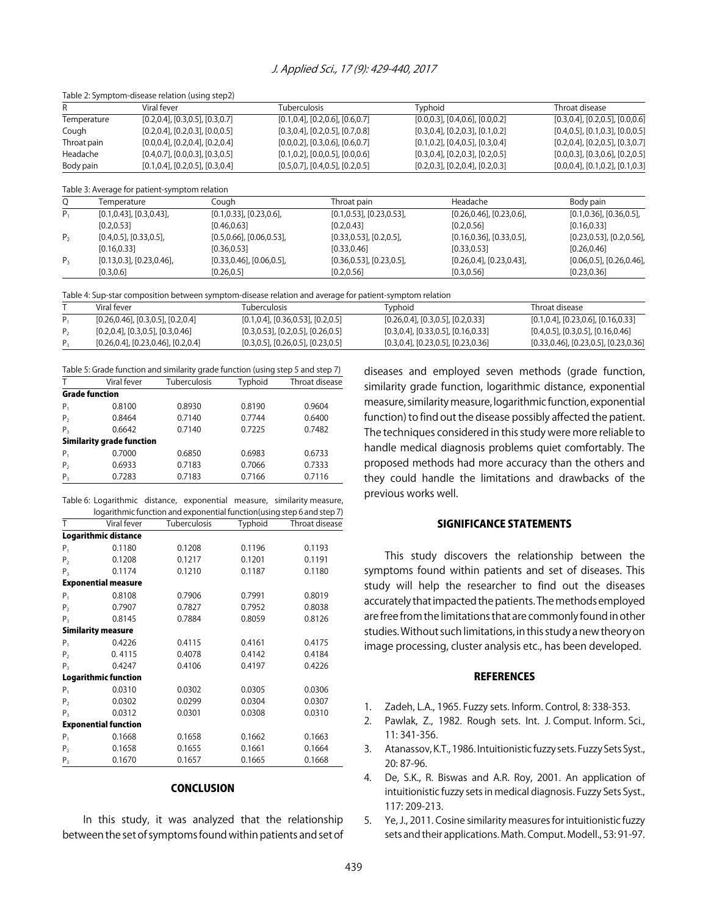Table 2: Symptom-disease relation (using step2)

| R              |                                  | Viral fever                                            | <b>Tuberculosis</b>                                                                                     | Typhoid                                    | Throat disease                             |
|----------------|----------------------------------|--------------------------------------------------------|---------------------------------------------------------------------------------------------------------|--------------------------------------------|--------------------------------------------|
|                | Temperature                      | $[0.2, 0.4]$ , $[0.3, 0.5]$ , $[0.3, 0.7]$             | $[0.1, 0.4]$ , $[0.2, 0.6]$ , $[0.6, 0.7]$                                                              | $[0.0, 0.3]$ , $[0.4, 0.6]$ , $[0.0, 0.2]$ | $[0.3, 0.4]$ , $[0.2, 0.5]$ , $[0.0, 0.6]$ |
| Cough          |                                  | $[0.2, 0.4]$ , $[0.2, 0.3]$ , $[0.0, 0.5]$             | $[0.3, 0.4]$ , $[0.2, 0.5]$ , $[0.7, 0.8]$                                                              | $[0.3, 0.4]$ , $[0.2, 0.3]$ , $[0.1, 0.2]$ | $[0.4, 0.5]$ , $[0.1, 0.3]$ , $[0.0, 0.5]$ |
| Throat pain    |                                  | $[0.0, 0.4]$ , $[0.2, 0.4]$ , $[0.2, 0.4]$             | $[0.0, 0.2]$ , $[0.3, 0.6]$ , $[0.6, 0.7]$                                                              | $[0.1, 0.2]$ , $[0.4, 0.5]$ , $[0.3, 0.4]$ | $[0.2, 0.4]$ , $[0.2, 0.5]$ , $[0.3, 0.7]$ |
| Headache       |                                  | $[0.4, 0.7]$ , $[0.0, 0.3]$ , $[0.3, 0.5]$             | $[0.1, 0.2]$ , $[0.0, 0.5]$ , $[0.0, 0.6]$                                                              | $[0.3, 0.4]$ , $[0.2, 0.3]$ , $[0.2, 0.5]$ | $[0.0, 0.3]$ , $[0.3, 0.6]$ , $[0.2, 0.5]$ |
| Body pain      |                                  | $[0.1, 0.4]$ , $[0.2, 0.5]$ , $[0.3, 0.4]$             | $[0.5, 0.7]$ , $[0.4, 0.5]$ , $[0.2, 0.5]$                                                              | $[0.2, 0.3]$ , $[0.2, 0.4]$ , $[0.2, 0.3]$ | $[0.0, 0.4]$ , $[0.1, 0.2]$ , $[0.1, 0.3]$ |
| Q              | Temperature                      | Table 3: Average for patient-symptom relation<br>Cough | Throat pain                                                                                             | Headache                                   | Body pain                                  |
|                |                                  |                                                        |                                                                                                         |                                            |                                            |
| $P_{1}$        | $[0.1, 0.43]$ , $[0.3, 0.43]$ ,  | $[0.1, 0.33]$ , $[0.23, 0.6]$ ,                        | $[0.1, 0.53]$ , $[0.23, 0.53]$ ,                                                                        | $[0.26, 0.46]$ , $[0.23, 0.6]$ ,           | $[0.1, 0.36]$ , $[0.36, 0.5]$ ,            |
|                | [0.2, 0.53]                      | [0.46, 0.63]                                           | [0.2, 0.43]                                                                                             | [0.2, 0.56]                                | [0.16, 0.33]                               |
| P <sub>2</sub> | $[0.4, 0.5]$ , $[0.33, 0.5]$ ,   | $[0.5, 0.66]$ , $[0.06, 0.53]$ ,                       | $[0.33, 0.53]$ , $[0.2, 0.5]$ ,                                                                         | $[0.16, 0.36]$ , $[0.33, 0.5]$ ,           | $[0.23, 0.53]$ , $[0.2, 0.56]$ ,           |
|                | [0.16, 0.33]                     | [0.36, 0.53]                                           | [0.33, 0.46]                                                                                            | [0.33, 0.53]                               | [0.26, 0.46]                               |
| $P_3$          | $[0.13, 0.3]$ , $[0.23, 0.46]$ , | $[0.33, 0.46]$ , $[0.06, 0.5]$ ,                       | $[0.36, 0.53]$ , $[0.23, 0.5]$ ,                                                                        | $[0.26, 0.4]$ , $[0.23, 0.43]$ ,           | $[0.06, 0.5]$ , $[0.26, 0.46]$ ,           |
|                | [0.3, 0.6]                       | [0.26, 0.5]                                            | [0.2, 0.56]                                                                                             | [0.3, 0.56]                                | [0.23, 0.36]                               |
|                |                                  |                                                        |                                                                                                         |                                            |                                            |
|                |                                  |                                                        | Table 4: Sup-star composition between symptom-disease relation and average for patient-symptom relation |                                            |                                            |

| . as it is applied. Composition setments from promission also as it and a related to patient symptom relation |                                               |                                              |                                               |                                                 |  |
|---------------------------------------------------------------------------------------------------------------|-----------------------------------------------|----------------------------------------------|-----------------------------------------------|-------------------------------------------------|--|
|                                                                                                               | Viral fever                                   | Tuberculosis                                 | Tvphoid                                       | Throat disease                                  |  |
|                                                                                                               | $[0.26, 0.46]$ , $[0.3, 0.5]$ , $[0.2, 0.4]$  | $[0.1, 0.4]$ , $[0.36, 0.53]$ , $[0.2, 0.5]$ | $[0.26, 0.4]$ , $[0.3, 0.5]$ , $[0.2, 0.33]$  | $[0.1, 0.4]$ , $[0.23, 0.6]$ , $[0.16, 0.33]$   |  |
|                                                                                                               | $[0.2, 0.4]$ , $[0.3, 0.5]$ , $[0.3, 0.46]$   | $[0.3, 0.53]$ , $[0.2, 0.5]$ , $[0.26, 0.5]$ | $[0.3, 0.4]$ , $[0.33, 0.5]$ , $[0.16, 0.33]$ | $[0.4, 0.5]$ , $[0.3, 0.5]$ , $[0.16, 0.46]$    |  |
|                                                                                                               | $[0.26, 0.4]$ , $[0.23, 0.46]$ , $[0.2, 0.4]$ | $[0.3, 0.5]$ , $[0.26, 0.5]$ , $[0.23, 0.5]$ | $[0.3, 0.4]$ , $[0.23, 0.5]$ , $[0.23, 0.36]$ | $[0.33, 0.46]$ , $[0.23, 0.5]$ , $[0.23, 0.36]$ |  |

|                  |                           | Table 5: Grade function and similarity grade function (using step 5 and step 7) |         |                |
|------------------|---------------------------|---------------------------------------------------------------------------------|---------|----------------|
| Viral fever<br>Т |                           | Tuberculosis                                                                    | Typhoid | Throat disease |
|                  | <b>Grade function</b>     |                                                                                 |         |                |
| $P_1$            | 0.8100                    | 0.8930                                                                          | 0.8190  | 0.9604         |
| P <sub>2</sub>   | 0.8464                    | 0.7140                                                                          | 0.7744  | 0.6400         |
| $P_{3}$          | 0.6642                    | 0.7140                                                                          | 0.7225  | 0.7482         |
|                  | Similarity grade function |                                                                                 |         |                |
| $P_1$            | 0.7000                    | 0.6850                                                                          | 0.6983  | 0.6733         |
| P <sub>2</sub>   | 0.6933                    | 0.7183                                                                          | 0.7066  | 0.7333         |
| $P_{3}$          | 0.7283                    | 0.7183                                                                          | 0.7166  | 0.7116         |

| Table 6: Logarithmic distance, exponential measure, similarity measure, |  |                                                                         |
|-------------------------------------------------------------------------|--|-------------------------------------------------------------------------|
|                                                                         |  | logarithmic function and exponential function (using step 6 and step 7) |

| T                           | Viral fever                 | Tuberculosis | Typhoid | Throat disease |  |  |
|-----------------------------|-----------------------------|--------------|---------|----------------|--|--|
|                             | <b>Logarithmic distance</b> |              |         |                |  |  |
| $P_1$                       | 0.1180                      | 0.1208       | 0.1196  | 0.1193         |  |  |
| P <sub>2</sub>              | 0.1208                      | 0.1217       | 0.1201  | 0.1191         |  |  |
| $P_3$                       | 0.1174                      | 0.1210       | 0.1187  | 0.1180         |  |  |
|                             | <b>Exponential measure</b>  |              |         |                |  |  |
| $P_1$                       | 0.8108                      | 0.7906       | 0.7991  | 0.8019         |  |  |
| P <sub>2</sub>              | 0.7907                      | 0.7827       | 0.7952  | 0.8038         |  |  |
| $P_3$                       | 0.8145                      | 0.7884       | 0.8059  | 0.8126         |  |  |
|                             | <b>Similarity measure</b>   |              |         |                |  |  |
| $P_1$                       | 0.4226                      | 0.4115       | 0.4161  | 0.4175         |  |  |
| P <sub>2</sub>              | 0.4115                      | 0.4078       | 0.4142  | 0.4184         |  |  |
| $P_3$                       | 0.4247                      | 0.4106       | 0.4197  | 0.4226         |  |  |
|                             | <b>Logarithmic function</b> |              |         |                |  |  |
| $P_1$                       | 0.0310                      | 0.0302       | 0.0305  | 0.0306         |  |  |
| P <sub>2</sub>              | 0.0302                      | 0.0299       | 0.0304  | 0.0307         |  |  |
| $P_{3}$                     | 0.0312                      | 0.0301       | 0.0308  | 0.0310         |  |  |
| <b>Exponential function</b> |                             |              |         |                |  |  |
| $P_1$                       | 0.1668                      | 0.1658       | 0.1662  | 0.1663         |  |  |
| P <sub>2</sub>              | 0.1658                      | 0.1655       | 0.1661  | 0.1664         |  |  |
| Ρ,                          | 0.1670                      | 0.1657       | 0.1665  | 0.1668         |  |  |

#### **CONCLUSION**

In this study, it was analyzed that the relationship between the set of symptoms found within patients and set of diseases and employed seven methods (grade function, similarity grade function, logarithmic distance, exponential measure, similarity measure, logarithmic function, exponential function) to find out the disease possibly affected the patient. The techniques considered in this study were more reliable to handle medical diagnosis problems quiet comfortably. The proposed methods had more accuracy than the others and they could handle the limitations and drawbacks of the previous works well.

#### SIGNIFICANCE STATEMENTS

This study discovers the relationship between the symptoms found within patients and set of diseases. This study will help the researcher to find out the diseases accurately that impacted the patients. The methods employed are free from the limitations that are commonly found in other studies. Without such limitations, in this study a new theory on image processing, cluster analysis etc., has been developed.

#### **REFERENCES**

- 1. Zadeh, L.A., 1965. Fuzzy sets. Inform. Control, 8: 338-353.
- 2. Pawlak, Z., 1982. Rough sets. Int. J. Comput. Inform. Sci., 11: 341-356.
- 3. Atanassov, K.T., 1986. Intuitionistic fuzzy sets. Fuzzy Sets Syst., 20: 87-96.
- 4. De, S.K., R. Biswas and A.R. Roy, 2001. An application of intuitionistic fuzzy sets in medical diagnosis. Fuzzy Sets Syst., 117: 209-213.
- 5. Ye, J., 2011. Cosine similarity measures for intuitionistic fuzzy sets and their applications. Math. Comput. Modell., 53: 91-97.